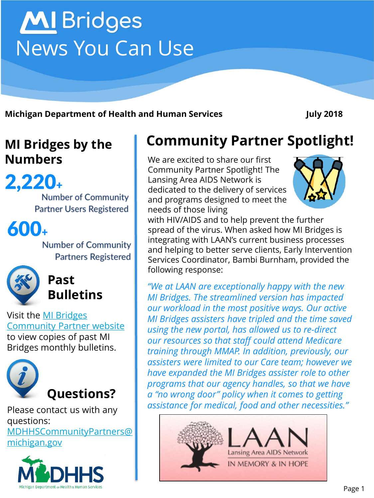#### Page 1

**MI Bridges by the** 

2,220+

**Number of Community Partner Users Registered** 

600+

**Number of Community Partners Registered** 



**Bulletins**

**Past** 



Please contact us with any questions:

[MDHHSCommunityPartners@](mailto:MDHHSCommunityPartners@michigan.gov) michigan.gov



# **Community Partner Spotlight!**

**Numbers** We are excited to share our first Community Partner Spotlight! The Lansing Area AIDS Network is dedicated to the delivery of services and programs designed to meet the needs of those living

with HIV/AIDS and to help prevent the further spread of the virus. When asked how MI Bridges is integrating with LAAN's current business processes and helping to better serve clients, Early Intervention Services Coordinator, Bambi Burnham, provided the following response:

*"We at LAAN are exceptionally happy with the new MI Bridges. The streamlined version has impacted our workload in the most positive ways. Our active MI Bridges assisters have tripled and the time saved using the new portal, has allowed us to re-direct our resources so that staff could attend Medicare training through MMAP. In addition, previously, our assisters were limited to our Care team; however we have expanded the MI Bridges assister role to other programs that our agency handles, so that we have a "no wrong door" policy when it comes to getting assistance for medical, food and other necessities."*





**Michigan Department of Health and Human Services July 2018**

**MI** Bridges News You Can Use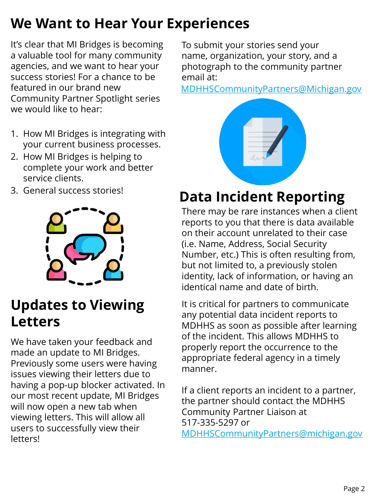# **We Want to Hear Your Experiences**

It's clear that MI Bridges is becoming a valuable tool for many community agencies, and we want to hear your success stories! For a chance to be featured in our brand new Community Partner Spotlight series we would like to hear:

- 1. How MI Bridges is integrating with your current business processes.
- 2. How MI Bridges is helping to complete your work and better service clients.
- 3. General success stories!



### **Updates to Viewing Letters**

We have taken your feedback and made an update to MI Bridges. Previously some users were having issues viewing their letters due to having a pop-up blocker activated. In our most recent update, MI Bridges will now open a new tab when viewing letters. This will allow all users to successfully view their letters!

To submit your stories send your name, organization, your story, and a photograph to the community partner email at:

[MDHHSCommunityPartners@Michigan.gov](mailto:MDHHSCommunityPartners@Michigan.gov)



### **Data Incident Reporting**

There may be rare instances when a client reports to you that there is data available on their account unrelated to their case (i.e. Name, Address, Social Security Number, etc.) This is often resulting from, but not limited to, a previously stolen identity, lack of information, or having an identical name and date of birth.

It is critical for partners to communicate any potential data incident reports to MDHHS as soon as possible after learning of the incident. This allows MDHHS to properly report the occurrence to the appropriate federal agency in a timely manner.

If a client reports an incident to a partner, the partner should contact the MDHHS Community Partner Liaison at 517-335-5297 or [MDHHSCommunityPartners@michigan.gov](mailto:MDHHSCommunityPartners@michigan.gov)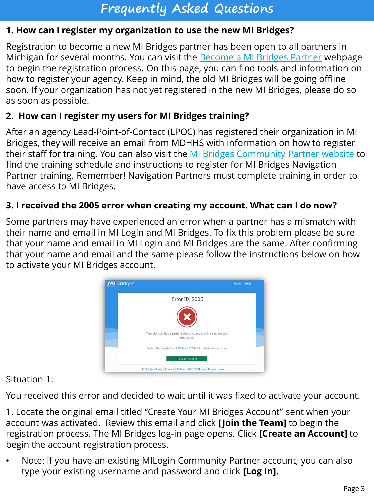### **Frequently Asked Questions**

#### **1. How can I register my organization to use the new MI Bridges?**

Registration to become a new MI Bridges partner has been open to all partners in Michigan for several months. You can visit the **[Become a MI Bridges Partner](http://www.michigan.gov/mdhhs/0,5885,7-339-71551_82637_82639---,00.html)** webpage to begin the registration process. On this page, you can find tools and information on how to register your agency. Keep in mind, the old MI Bridges will be going offline soon. If your organization has not yet registered in the new MI Bridges, please do so as soon as possible.

#### **2. How can I register my users for MI Bridges training?**

After an agency Lead-Point-of-Contact (LPOC) has registered their organization in MI Bridges, they will receive an email from MDHHS with information on how to register their staff for training. You can also visit the [MI Bridges Community Partner website](http://www.michigan.gov/mdhhs/0,5885,7-339-71551_82637_82640---,00.html) to find the training schedule and instructions to register for MI Bridges Navigation Partner training. Remember! Navigation Partners must complete training in order to have access to MI Bridges.

#### **3. I received the 2005 error when creating my account. What can I do now?**

Some partners may have experienced an error when a partner has a mismatch with their name and email in MI Login and MI Bridges. To fix this problem please be sure that your name and email in MI Login and MI Bridges are the same. After confirming that your name and email and the same please follow the instructions below on how to activate your MI Bridges account.



#### Situation 1:

You received this error and decided to wait until it was fixed to activate your account.

1. Locate the original email titled "Create Your MI Bridges Account" sent when your account was activated. Review this email and click **[Join the Team]** to begin the registration process. The MI Bridges log-in page opens. Click **[Create an Account]** to begin the account registration process.

• Note: if you have an existing MILogin Community Partner account, you can also type your existing username and password and click **[Log In].**